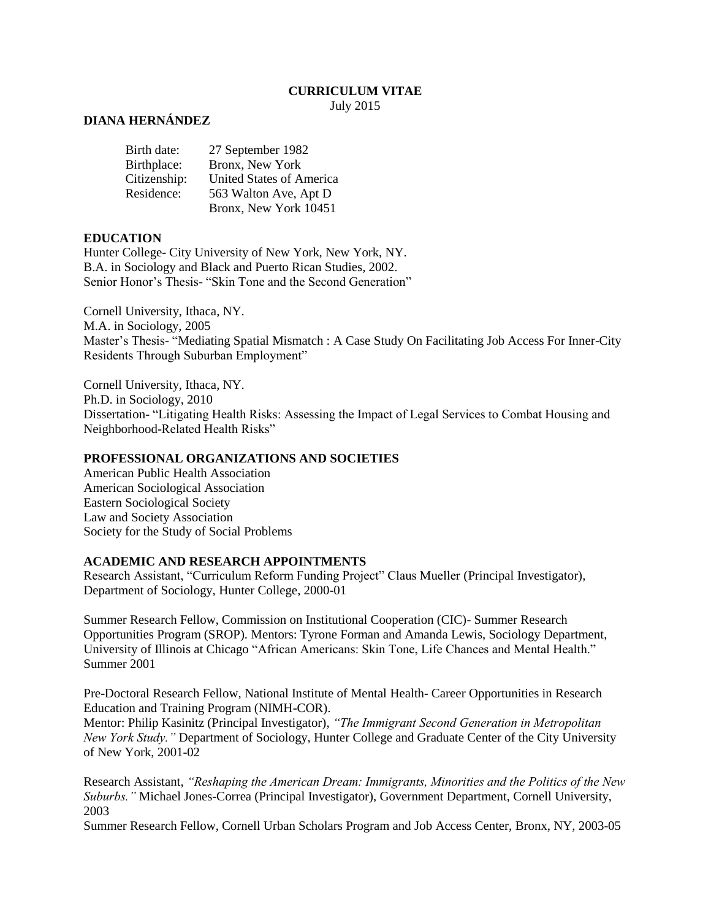#### **CURRICULUM VITAE** July 2015

### **DIANA HERNÁNDEZ**

| 27 September 1982        |
|--------------------------|
| Bronx, New York          |
| United States of America |
| 563 Walton Ave, Apt D    |
| Bronx, New York 10451    |
|                          |

#### **EDUCATION**

Hunter College- City University of New York, New York, NY. B.A. in Sociology and Black and Puerto Rican Studies, 2002. Senior Honor's Thesis- "Skin Tone and the Second Generation"

Cornell University, Ithaca, NY. M.A. in Sociology, 2005 Master's Thesis- "Mediating Spatial Mismatch : A Case Study On Facilitating Job Access For Inner-City Residents Through Suburban Employment"

Cornell University, Ithaca, NY. Ph.D. in Sociology, 2010 Dissertation- "Litigating Health Risks: Assessing the Impact of Legal Services to Combat Housing and Neighborhood-Related Health Risks"

#### **PROFESSIONAL ORGANIZATIONS AND SOCIETIES**

American Public Health Association American Sociological Association Eastern Sociological Society Law and Society Association Society for the Study of Social Problems

#### **ACADEMIC AND RESEARCH APPOINTMENTS**

Research Assistant, "Curriculum Reform Funding Project" Claus Mueller (Principal Investigator), Department of Sociology, Hunter College, 2000-01

Summer Research Fellow, Commission on Institutional Cooperation (CIC)- Summer Research Opportunities Program (SROP). Mentors: Tyrone Forman and Amanda Lewis, Sociology Department, University of Illinois at Chicago "African Americans: Skin Tone, Life Chances and Mental Health." Summer 2001

Pre-Doctoral Research Fellow, National Institute of Mental Health- Career Opportunities in Research Education and Training Program (NIMH-COR).

Mentor: Philip Kasinitz (Principal Investigator), *"The Immigrant Second Generation in Metropolitan New York Study."* Department of Sociology, Hunter College and Graduate Center of the City University of New York, 2001-02

Research Assistant, *"Reshaping the American Dream: Immigrants, Minorities and the Politics of the New Suburbs."* Michael Jones-Correa (Principal Investigator), Government Department, Cornell University, 2003

Summer Research Fellow, Cornell Urban Scholars Program and Job Access Center, Bronx, NY, 2003-05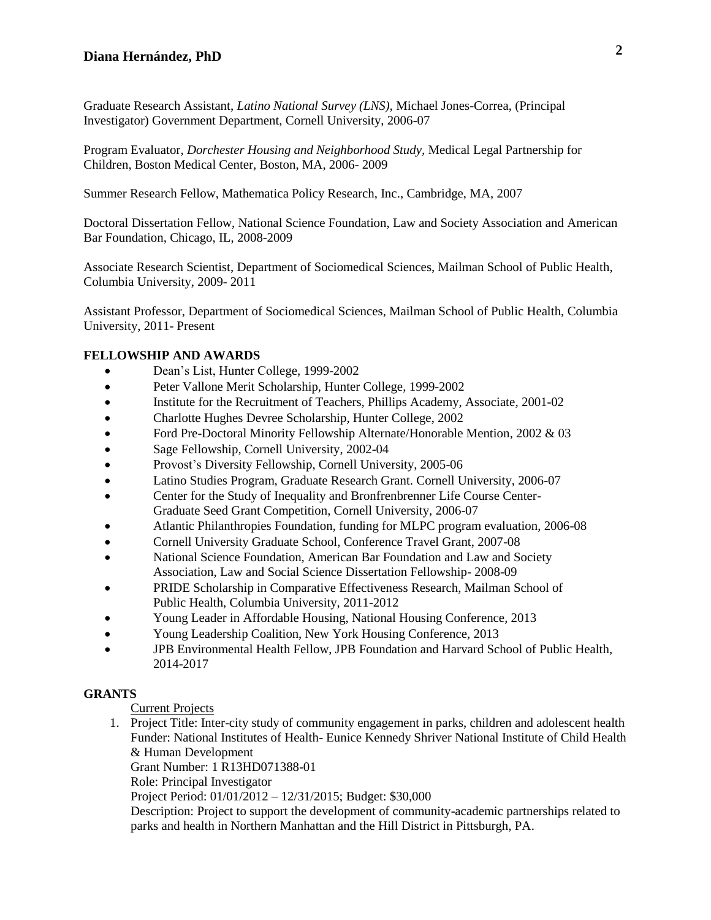Graduate Research Assistant, *Latino National Survey (LNS),* Michael Jones-Correa, (Principal Investigator) Government Department, Cornell University, 2006-07

Program Evaluator, *Dorchester Housing and Neighborhood Study,* Medical Legal Partnership for Children, Boston Medical Center, Boston, MA, 2006- 2009

Summer Research Fellow, Mathematica Policy Research, Inc., Cambridge, MA, 2007

Doctoral Dissertation Fellow, National Science Foundation, Law and Society Association and American Bar Foundation, Chicago, IL, 2008-2009

Associate Research Scientist, Department of Sociomedical Sciences, Mailman School of Public Health, Columbia University, 2009- 2011

Assistant Professor, Department of Sociomedical Sciences, Mailman School of Public Health, Columbia University, 2011- Present

#### **FELLOWSHIP AND AWARDS**

- Dean's List, Hunter College, 1999-2002
- Peter Vallone Merit Scholarship, Hunter College, 1999-2002
- Institute for the Recruitment of Teachers, Phillips Academy, Associate, 2001-02
- Charlotte Hughes Devree Scholarship, Hunter College, 2002
- Ford Pre-Doctoral Minority Fellowship Alternate/Honorable Mention, 2002 & 03
- Sage Fellowship, Cornell University, 2002-04
- Provost's Diversity Fellowship, Cornell University, 2005-06
- Latino Studies Program, Graduate Research Grant. Cornell University, 2006-07
- Center for the Study of Inequality and Bronfrenbrenner Life Course Center-Graduate Seed Grant Competition, Cornell University, 2006-07
- Atlantic Philanthropies Foundation, funding for MLPC program evaluation, 2006-08
- Cornell University Graduate School, Conference Travel Grant, 2007-08
- National Science Foundation, American Bar Foundation and Law and Society Association, Law and Social Science Dissertation Fellowship- 2008-09
- PRIDE Scholarship in Comparative Effectiveness Research, Mailman School of Public Health, Columbia University, 2011-2012
- Young Leader in Affordable Housing, National Housing Conference, 2013
- Young Leadership Coalition, New York Housing Conference, 2013
- JPB Environmental Health Fellow, JPB Foundation and Harvard School of Public Health, 2014-2017

#### **GRANTS**

Current Projects

1. Project Title: Inter-city study of community engagement in parks, children and adolescent health Funder: National Institutes of Health- Eunice Kennedy Shriver National Institute of Child Health & Human Development

Grant Number: 1 R13HD071388-01

Role: Principal Investigator

Project Period: 01/01/2012 – 12/31/2015; Budget: \$30,000

Description: Project to support the development of community-academic partnerships related to parks and health in Northern Manhattan and the Hill District in Pittsburgh, PA.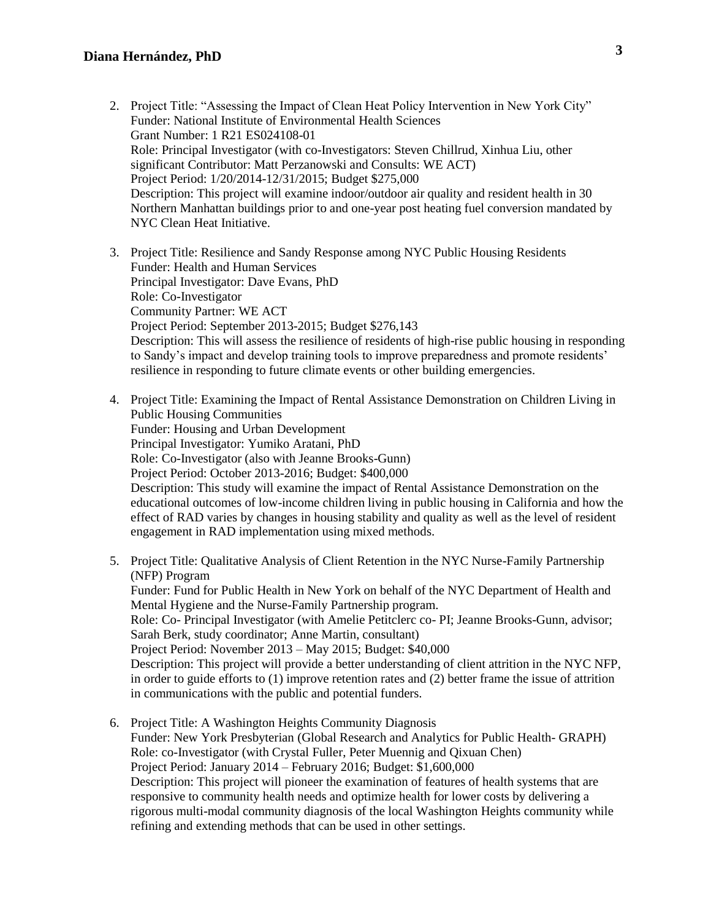- 2. Project Title: "Assessing the Impact of Clean Heat Policy Intervention in New York City" Funder: National Institute of Environmental Health Sciences Grant Number: 1 R21 ES024108-01 Role: Principal Investigator (with co-Investigators: Steven Chillrud, Xinhua Liu, other significant Contributor: Matt Perzanowski and Consults: WE ACT) Project Period: 1/20/2014-12/31/2015; Budget \$275,000 Description: This project will examine indoor/outdoor air quality and resident health in 30 Northern Manhattan buildings prior to and one-year post heating fuel conversion mandated by NYC Clean Heat Initiative.
- 3. Project Title: Resilience and Sandy Response among NYC Public Housing Residents Funder: Health and Human Services Principal Investigator: Dave Evans, PhD Role: Co-Investigator Community Partner: WE ACT Project Period: September 2013-2015; Budget \$276,143 Description: This will assess the resilience of residents of high-rise public housing in responding to Sandy's impact and develop training tools to improve preparedness and promote residents' resilience in responding to future climate events or other building emergencies.
- 4. Project Title: Examining the Impact of Rental Assistance Demonstration on Children Living in Public Housing Communities Funder: Housing and Urban Development Principal Investigator: Yumiko Aratani, PhD Role: Co-Investigator (also with Jeanne Brooks-Gunn) Project Period: October 2013-2016; Budget: \$400,000 Description: This study will examine the impact of Rental Assistance Demonstration on the educational outcomes of low-income children living in public housing in California and how the effect of RAD varies by changes in housing stability and quality as well as the level of resident engagement in RAD implementation using mixed methods.
- 5. Project Title: Qualitative Analysis of Client Retention in the NYC Nurse-Family Partnership (NFP) Program Funder: Fund for Public Health in New York on behalf of the NYC Department of Health and Mental Hygiene and the Nurse-Family Partnership program. Role: Co- Principal Investigator (with Amelie Petitclerc co- PI; Jeanne Brooks-Gunn, advisor; Sarah Berk, study coordinator; Anne Martin, consultant) Project Period: November 2013 – May 2015; Budget: \$40,000 Description: This project will provide a better understanding of client attrition in the NYC NFP, in order to guide efforts to (1) improve retention rates and (2) better frame the issue of attrition in communications with the public and potential funders.
- 6. Project Title: A Washington Heights Community Diagnosis Funder: New York Presbyterian (Global Research and Analytics for Public Health- GRAPH) Role: co-Investigator (with Crystal Fuller, Peter Muennig and Qixuan Chen) Project Period: January 2014 – February 2016; Budget: \$1,600,000 Description: This project will pioneer the examination of features of health systems that are responsive to community health needs and optimize health for lower costs by delivering a rigorous multi-modal community diagnosis of the local Washington Heights community while refining and extending methods that can be used in other settings.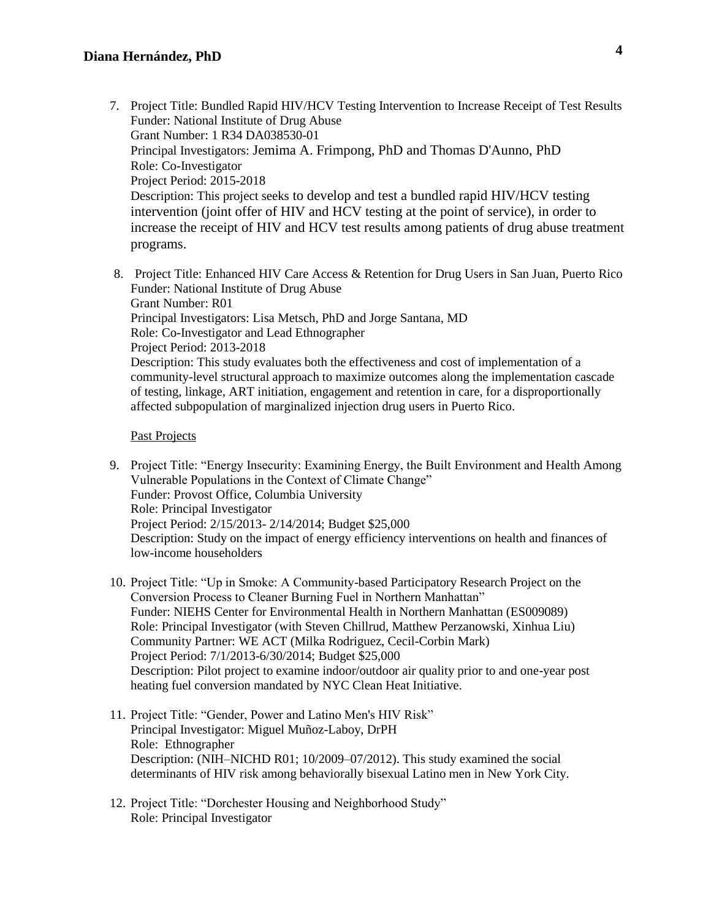- 7. Project Title: Bundled Rapid HIV/HCV Testing Intervention to Increase Receipt of Test Results Funder: National Institute of Drug Abuse Grant Number: 1 R34 DA038530-01 Principal Investigators: Jemima A. Frimpong, PhD and Thomas D'Aunno, PhD Role: Co-Investigator Project Period: 2015-2018 Description: This project seeks to develop and test a bundled rapid HIV/HCV testing intervention (joint offer of HIV and HCV testing at the point of service), in order to increase the receipt of HIV and HCV test results among patients of drug abuse treatment programs.
- 8. Project Title: Enhanced HIV Care Access & Retention for Drug Users in San Juan, Puerto Rico Funder: National Institute of Drug Abuse Grant Number: R01 Principal Investigators: Lisa Metsch, PhD and Jorge Santana, MD Role: Co-Investigator and Lead Ethnographer Project Period: 2013-2018 Description: This study evaluates both the effectiveness and cost of implementation of a community-level structural approach to maximize outcomes along the implementation cascade of testing, linkage, ART initiation, engagement and retention in care, for a disproportionally affected subpopulation of marginalized injection drug users in Puerto Rico.

#### Past Projects

- 9. Project Title: "Energy Insecurity: Examining Energy, the Built Environment and Health Among Vulnerable Populations in the Context of Climate Change" Funder: Provost Office, Columbia University Role: Principal Investigator Project Period: 2/15/2013- 2/14/2014; Budget \$25,000 Description: Study on the impact of energy efficiency interventions on health and finances of low-income householders
- 10. Project Title: "Up in Smoke: A Community-based Participatory Research Project on the Conversion Process to Cleaner Burning Fuel in Northern Manhattan" Funder: NIEHS Center for Environmental Health in Northern Manhattan (ES009089) Role: Principal Investigator (with Steven Chillrud, Matthew Perzanowski, Xinhua Liu) Community Partner: WE ACT (Milka Rodriguez, Cecil-Corbin Mark) Project Period: 7/1/2013-6/30/2014; Budget \$25,000 Description: Pilot project to examine indoor/outdoor air quality prior to and one-year post heating fuel conversion mandated by NYC Clean Heat Initiative.
- 11. Project Title: "Gender, Power and Latino Men's HIV Risk" Principal Investigator: Miguel Muñoz-Laboy, DrPH Role: Ethnographer Description: (NIH–NICHD R01; 10/2009–07/2012). This study examined the social determinants of HIV risk among behaviorally bisexual Latino men in New York City.
- 12. Project Title: "Dorchester Housing and Neighborhood Study" Role: Principal Investigator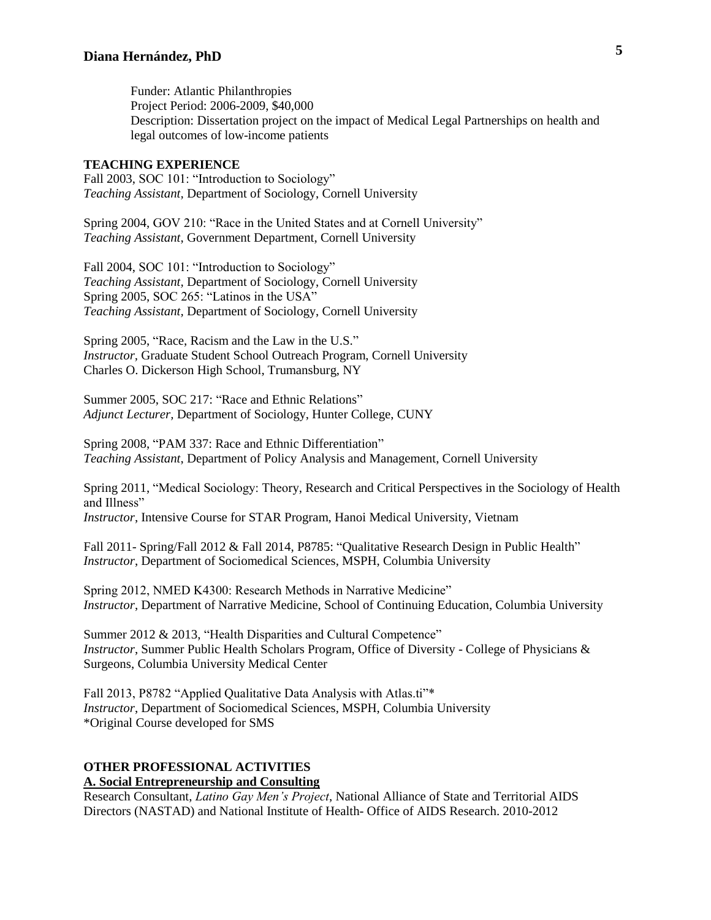Funder: Atlantic Philanthropies Project Period: 2006-2009, \$40,000 Description: Dissertation project on the impact of Medical Legal Partnerships on health and legal outcomes of low-income patients

#### **TEACHING EXPERIENCE**

Fall 2003, SOC 101: "Introduction to Sociology" *Teaching Assistant,* Department of Sociology, Cornell University

Spring 2004, GOV 210: "Race in the United States and at Cornell University" *Teaching Assistant*, Government Department, Cornell University

Fall 2004, SOC 101: "Introduction to Sociology" *Teaching Assistant,* Department of Sociology, Cornell University Spring 2005, SOC 265: "Latinos in the USA" *Teaching Assistant,* Department of Sociology, Cornell University

Spring 2005, "Race, Racism and the Law in the U.S." *Instructor,* Graduate Student School Outreach Program, Cornell University Charles O. Dickerson High School, Trumansburg, NY

Summer 2005, SOC 217: "Race and Ethnic Relations" *Adjunct Lecturer,* Department of Sociology, Hunter College, CUNY

Spring 2008, "PAM 337: Race and Ethnic Differentiation" *Teaching Assistant*, Department of Policy Analysis and Management, Cornell University

Spring 2011, "Medical Sociology: Theory, Research and Critical Perspectives in the Sociology of Health and Illness" *Instructor*, Intensive Course for STAR Program, Hanoi Medical University, Vietnam

Fall 2011- Spring/Fall 2012 & Fall 2014, P8785: "Qualitative Research Design in Public Health" *Instructor*, Department of Sociomedical Sciences, MSPH, Columbia University

Spring 2012, NMED K4300: Research Methods in Narrative Medicine" *Instructor*, Department of Narrative Medicine, School of Continuing Education, Columbia University

Summer 2012 & 2013, "Health Disparities and Cultural Competence" *Instructor*, Summer Public Health Scholars Program, Office of Diversity - College of Physicians & Surgeons, Columbia University Medical Center

Fall 2013, P8782 "Applied Qualitative Data Analysis with Atlas.ti"\* *Instructor*, Department of Sociomedical Sciences, MSPH, Columbia University \*Original Course developed for SMS

#### **OTHER PROFESSIONAL ACTIVITIES A. Social Entrepreneurship and Consulting**

Research Consultant, *Latino Gay Men's Project*, National Alliance of State and Territorial AIDS Directors (NASTAD) and National Institute of Health- Office of AIDS Research. 2010-2012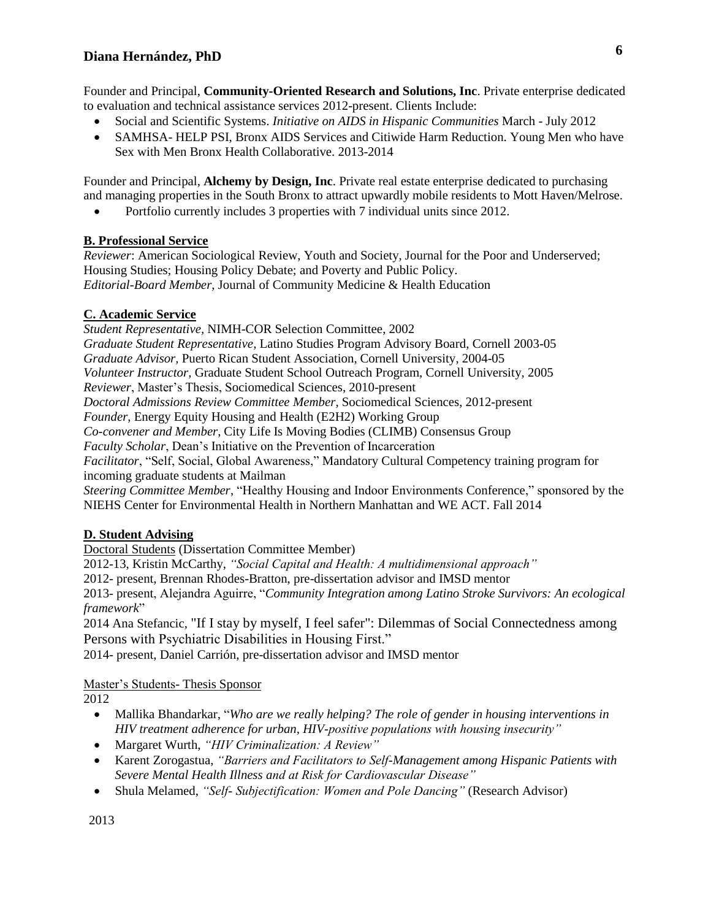Founder and Principal, **Community-Oriented Research and Solutions, Inc**. Private enterprise dedicated to evaluation and technical assistance services 2012-present. Clients Include:

- Social and Scientific Systems. *Initiative on AIDS in Hispanic Communities* March July 2012
- SAMHSA- HELP PSI, Bronx AIDS Services and Citiwide Harm Reduction. Young Men who have Sex with Men Bronx Health Collaborative. 2013-2014

Founder and Principal, **Alchemy by Design, Inc**. Private real estate enterprise dedicated to purchasing and managing properties in the South Bronx to attract upwardly mobile residents to Mott Haven/Melrose.

• Portfolio currently includes 3 properties with 7 individual units since 2012.

### **B. Professional Service**

*Reviewer*: American Sociological Review, Youth and Society, Journal for the Poor and Underserved; Housing Studies; Housing Policy Debate; and Poverty and Public Policy. *Editorial-Board Member*, Journal of Community Medicine & Health Education

### **C. Academic Service**

*Student Representative,* NIMH-COR Selection Committee, 2002 *Graduate Student Representative,* Latino Studies Program Advisory Board, Cornell 2003-05 *Graduate Advisor,* Puerto Rican Student Association, Cornell University, 2004-05 *Volunteer Instructor,* Graduate Student School Outreach Program, Cornell University, 2005 *Reviewer*, Master's Thesis, Sociomedical Sciences, 2010-present *Doctoral Admissions Review Committee Member*, Sociomedical Sciences, 2012-present *Founder*, Energy Equity Housing and Health (E2H2) Working Group *Co-convener and Member*, City Life Is Moving Bodies (CLIMB) Consensus Group *Faculty Scholar*, Dean's Initiative on the Prevention of Incarceration *Facilitator*, "Self, Social, Global Awareness," Mandatory Cultural Competency training program for incoming graduate students at Mailman

*Steering Committee Member*, "Healthy Housing and Indoor Environments Conference," sponsored by the NIEHS Center for Environmental Health in Northern Manhattan and WE ACT. Fall 2014

## **D. Student Advising**

Doctoral Students (Dissertation Committee Member)

2012-13, Kristin McCarthy, *"Social Capital and Health: A multidimensional approach"*

2012- present, Brennan Rhodes-Bratton, pre-dissertation advisor and IMSD mentor

2013- present, Alejandra Aguirre, "*Community Integration among Latino Stroke Survivors: An ecological framework*"

2014 Ana Stefancic, "If I stay by myself, I feel safer": Dilemmas of Social Connectedness among Persons with Psychiatric Disabilities in Housing First."

2014- present, Daniel Carrión, pre-dissertation advisor and IMSD mentor

### Master's Students- Thesis Sponsor

2012

- Mallika Bhandarkar, "*Who are we really helping? The role of gender in housing interventions in HIV treatment adherence for urban, HIV-positive populations with housing insecurity"*
- Margaret Wurth, *"HIV Criminalization: A Review"*
- Karent Zorogastua, *"Barriers and Facilitators to Self-Management among Hispanic Patients with Severe Mental Health Illness and at Risk for Cardiovascular Disease"*
- Shula Melamed, *"Self- Subjectification: Women and Pole Dancing"* (Research Advisor)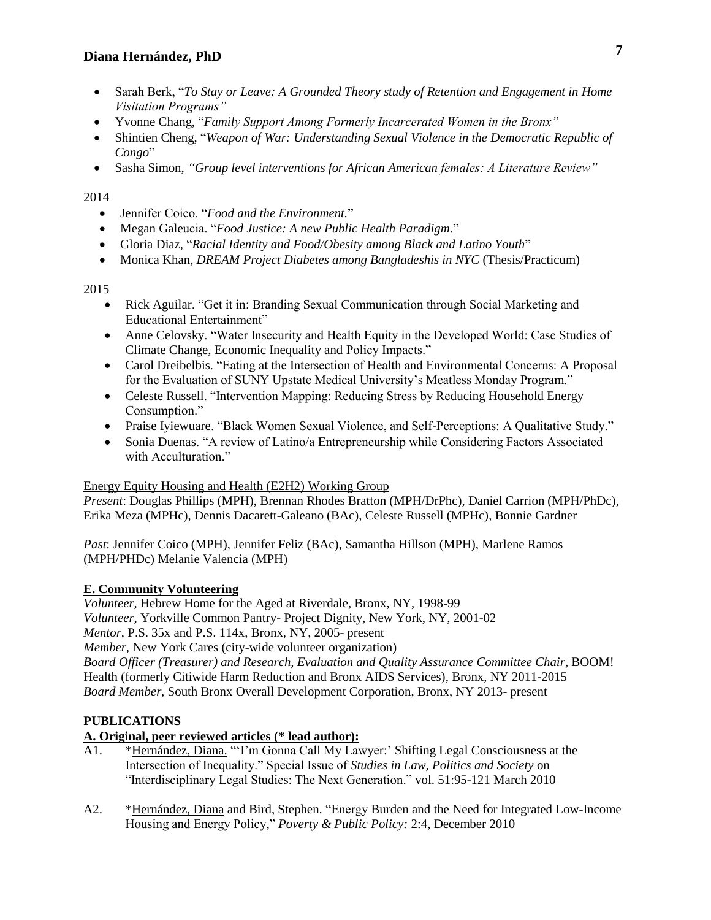- Sarah Berk, "*To Stay or Leave: A Grounded Theory study of Retention and Engagement in Home Visitation Programs"*
- Yvonne Chang, "*Family Support Among Formerly Incarcerated Women in the Bronx"*
- Shintien Cheng, "*Weapon of War: Understanding Sexual Violence in the Democratic Republic of Congo*"
- Sasha Simon, *"Group level interventions for African American females: A Literature Review"*

## 2014

- Jennifer Coico. "*Food and the Environment.*"
- Megan Galeucia. "*Food Justice: A new Public Health Paradigm*."
- Gloria Diaz, "*Racial Identity and Food/Obesity among Black and Latino Youth*"
- Monica Khan, *DREAM Project Diabetes among Bangladeshis in NYC* (Thesis/Practicum)

## 2015

- Rick Aguilar. "Get it in: Branding Sexual Communication through Social Marketing and Educational Entertainment"
- Anne Celovsky. "Water Insecurity and Health Equity in the Developed World: Case Studies of Climate Change, Economic Inequality and Policy Impacts."
- Carol Dreibelbis. "Eating at the Intersection of Health and Environmental Concerns: A Proposal for the Evaluation of SUNY Upstate Medical University's Meatless Monday Program."
- Celeste Russell. "Intervention Mapping: Reducing Stress by Reducing Household Energy Consumption."
- Praise Iyiewuare. "Black Women Sexual Violence, and Self-Perceptions: A Qualitative Study."
- Sonia Duenas. "A review of Latino/a Entrepreneurship while Considering Factors Associated with Acculturation."

## Energy Equity Housing and Health (E2H2) Working Group

*Present*: Douglas Phillips (MPH), Brennan Rhodes Bratton (MPH/DrPhc), Daniel Carrion (MPH/PhDc), Erika Meza (MPHc), Dennis Dacarett-Galeano (BAc), Celeste Russell (MPHc), Bonnie Gardner

*Past*: Jennifer Coico (MPH), Jennifer Feliz (BAc), Samantha Hillson (MPH), Marlene Ramos (MPH/PHDc) Melanie Valencia (MPH)

## **E. Community Volunteering**

*Volunteer,* Hebrew Home for the Aged at Riverdale, Bronx, NY, 1998-99 *Volunteer,* Yorkville Common Pantry- Project Dignity, New York, NY, 2001-02 *Mentor*, P.S. 35x and P.S. 114x, Bronx, NY, 2005- present *Member,* New York Cares (city-wide volunteer organization) *Board Officer (Treasurer) and Research, Evaluation and Quality Assurance Committee Chair*, BOOM! Health (formerly Citiwide Harm Reduction and Bronx AIDS Services), Bronx, NY 2011-2015 *Board Member,* South Bronx Overall Development Corporation, Bronx, NY 2013- present

## **PUBLICATIONS**

## **A. Original, peer reviewed articles (\* lead author):**

- A1. \*Hernández, Diana. "'I'm Gonna Call My Lawyer:' Shifting Legal Consciousness at the Intersection of Inequality." Special Issue of *Studies in Law, Politics and Society* on "Interdisciplinary Legal Studies: The Next Generation." vol. 51:95-121 March 2010
- A2. \*Hernández, Diana and Bird, Stephen. "Energy Burden and the Need for Integrated Low-Income Housing and Energy Policy," *Poverty & Public Policy:* 2:4, December 2010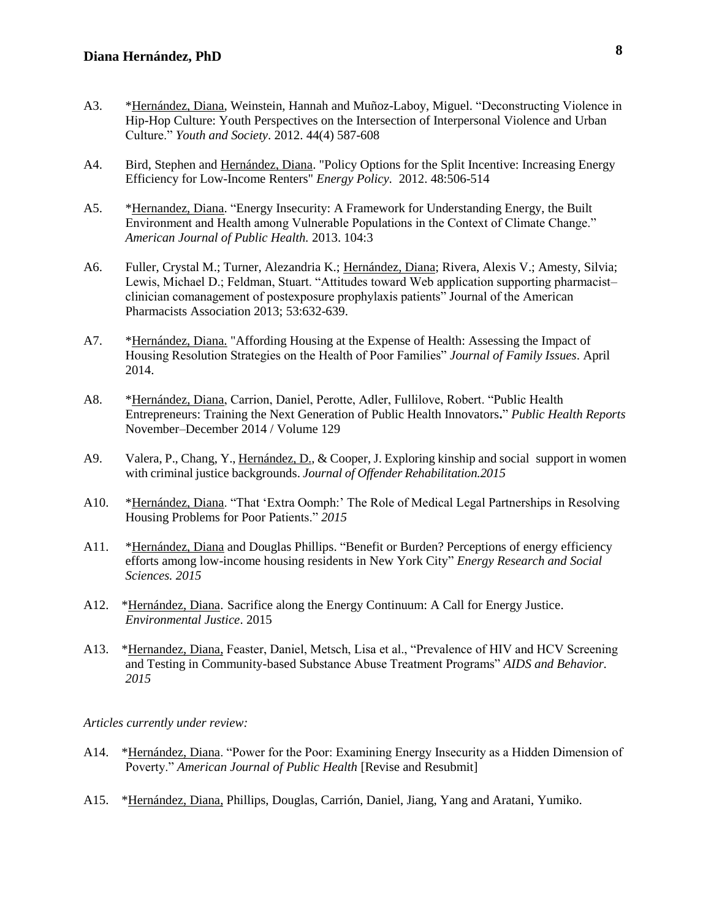- A3. \*Hernández, Diana, Weinstein, Hannah and Muñoz-Laboy, Miguel. "Deconstructing Violence in Hip-Hop Culture: Youth Perspectives on the Intersection of Interpersonal Violence and Urban Culture." *Youth and Society*. 2012. 44(4) 587-608
- A4. Bird, Stephen and Hernández, Diana. "Policy Options for the Split Incentive: Increasing Energy Efficiency for Low-Income Renters" *Energy Policy.* 2012. 48:506-514
- A5. \*Hernandez, Diana. "Energy Insecurity: A Framework for Understanding Energy, the Built Environment and Health among Vulnerable Populations in the Context of Climate Change." *American Journal of Public Health.* 2013. 104:3
- A6. Fuller, Crystal M.; Turner, Alezandria K.; Hernández, Diana; Rivera, Alexis V.; Amesty, Silvia; Lewis, Michael D.; Feldman, Stuart. "Attitudes toward Web application supporting pharmacist– clinician comanagement of postexposure prophylaxis patients" Journal of the American Pharmacists Association 2013; 53:632-639.
- A7. \*Hernández, Diana. "Affording Housing at the Expense of Health: Assessing the Impact of Housing Resolution Strategies on the Health of Poor Families" *Journal of Family Issues*. April 2014.
- A8. \*Hernández, Diana, Carrion, Daniel, Perotte, Adler, Fullilove, Robert. "Public Health Entrepreneurs: Training the Next Generation of Public Health Innovators**.**" *Public Health Reports*  November–December 2014 / Volume 129
- A9. Valera, P., Chang, Y., Hernández, D., & Cooper, J. Exploring kinship and social support in women with criminal justice backgrounds. *Journal of Offender Rehabilitation.2015*
- A10. \*Hernández, Diana. "That 'Extra Oomph:' The Role of Medical Legal Partnerships in Resolving Housing Problems for Poor Patients." *2015*
- A11. \*Hernández, Diana and Douglas Phillips. "Benefit or Burden? Perceptions of energy efficiency efforts among low-income housing residents in New York City" *Energy Research and Social Sciences. 2015*
- A12. \*Hernández, Diana. Sacrifice along the Energy Continuum: A Call for Energy Justice. *Environmental Justice*. 2015
- A13. \*Hernandez, Diana, Feaster, Daniel, Metsch, Lisa et al., "Prevalence of HIV and HCV Screening and Testing in Community-based Substance Abuse Treatment Programs" *AIDS and Behavior. 2015*

*Articles currently under review:*

- A14. \*Hernández, Diana. "Power for the Poor: Examining Energy Insecurity as a Hidden Dimension of Poverty." *American Journal of Public Health* [Revise and Resubmit]
- A15. \*Hernández, Diana, Phillips, Douglas, Carrión, Daniel, Jiang, Yang and Aratani, Yumiko.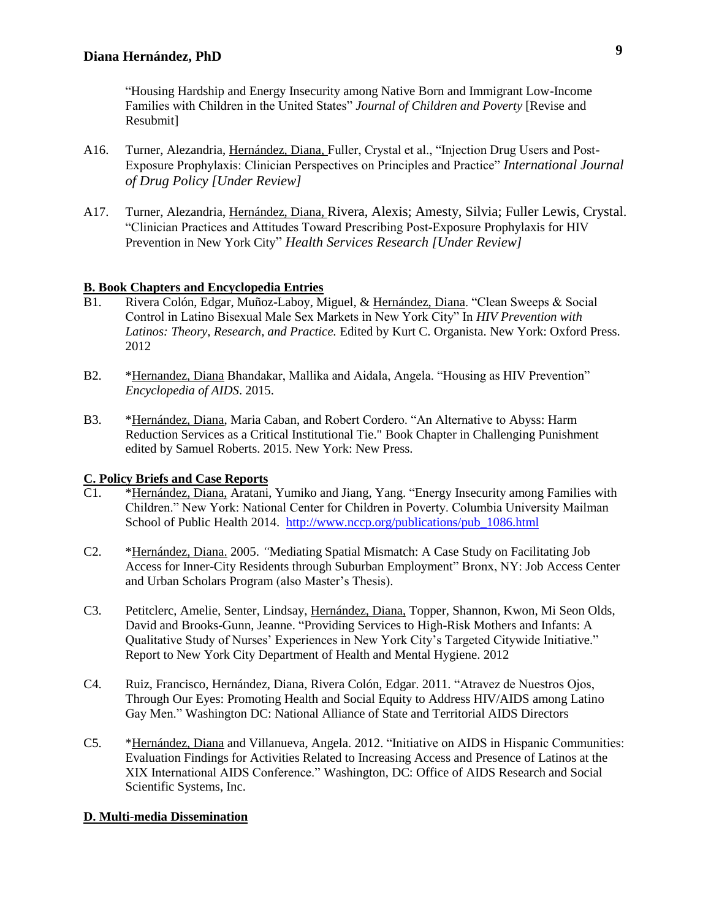"Housing Hardship and Energy Insecurity among Native Born and Immigrant Low-Income Families with Children in the United States" *Journal of Children and Poverty* [Revise and Resubmit]

- A16. Turner, Alezandria, Hernández, Diana, Fuller, Crystal et al., "Injection Drug Users and Post-Exposure Prophylaxis: Clinician Perspectives on Principles and Practice" *International Journal of Drug Policy [Under Review]*
- A17. Turner, Alezandria, Hernández, Diana, Rivera, Alexis; Amesty, Silvia; Fuller Lewis, Crystal. "Clinician Practices and Attitudes Toward Prescribing Post-Exposure Prophylaxis for HIV Prevention in New York City" *Health Services Research [Under Review]*

### **B. Book Chapters and Encyclopedia Entries**

- B1. Rivera Colón, Edgar, Muñoz-Laboy, Miguel, & Hernández, Diana. "Clean Sweeps & Social Control in Latino Bisexual Male Sex Markets in New York City" In *HIV Prevention with Latinos: Theory, Research, and Practice.* Edited by Kurt C. Organista. New York: Oxford Press. 2012
- B2. \*Hernandez, Diana Bhandakar, Mallika and Aidala, Angela. "Housing as HIV Prevention" *Encyclopedia of AIDS*. 2015.
- B3. \*Hernández, Diana, Maria Caban, and Robert Cordero. "An Alternative to Abyss: Harm Reduction Services as a Critical Institutional Tie." Book Chapter in Challenging Punishment edited by Samuel Roberts. 2015. New York: New Press.

## **C. Policy Briefs and Case Reports**

- C1. \*Hernández, Diana, Aratani, Yumiko and Jiang, Yang. "Energy Insecurity among Families with Children." New York: National Center for Children in Poverty. Columbia University Mailman School of Public Health 2014. [http://www.nccp.org/publications/pub\\_1086.html](http://www.nccp.org/publications/pub_1086.html)
- C2. \*Hernández, Diana. 2005. *"*Mediating Spatial Mismatch: A Case Study on Facilitating Job Access for Inner-City Residents through Suburban Employment" Bronx, NY: Job Access Center and Urban Scholars Program (also Master's Thesis).
- C3. Petitclerc, Amelie, Senter, Lindsay, Hernández, Diana, Topper, Shannon, Kwon, Mi Seon Olds, David and Brooks-Gunn, Jeanne. "Providing Services to High-Risk Mothers and Infants: A Qualitative Study of Nurses' Experiences in New York City's Targeted Citywide Initiative." Report to New York City Department of Health and Mental Hygiene. 2012
- C4. Ruiz, Francisco, Hernández, Diana, Rivera Colón, Edgar. 2011. "Atravez de Nuestros Ojos, Through Our Eyes: Promoting Health and Social Equity to Address HIV/AIDS among Latino Gay Men." Washington DC: National Alliance of State and Territorial AIDS Directors
- C5. \*Hernández, Diana and Villanueva, Angela. 2012. "Initiative on AIDS in Hispanic Communities: Evaluation Findings for Activities Related to Increasing Access and Presence of Latinos at the XIX International AIDS Conference." Washington, DC: Office of AIDS Research and Social Scientific Systems, Inc.

### **D. Multi-media Dissemination**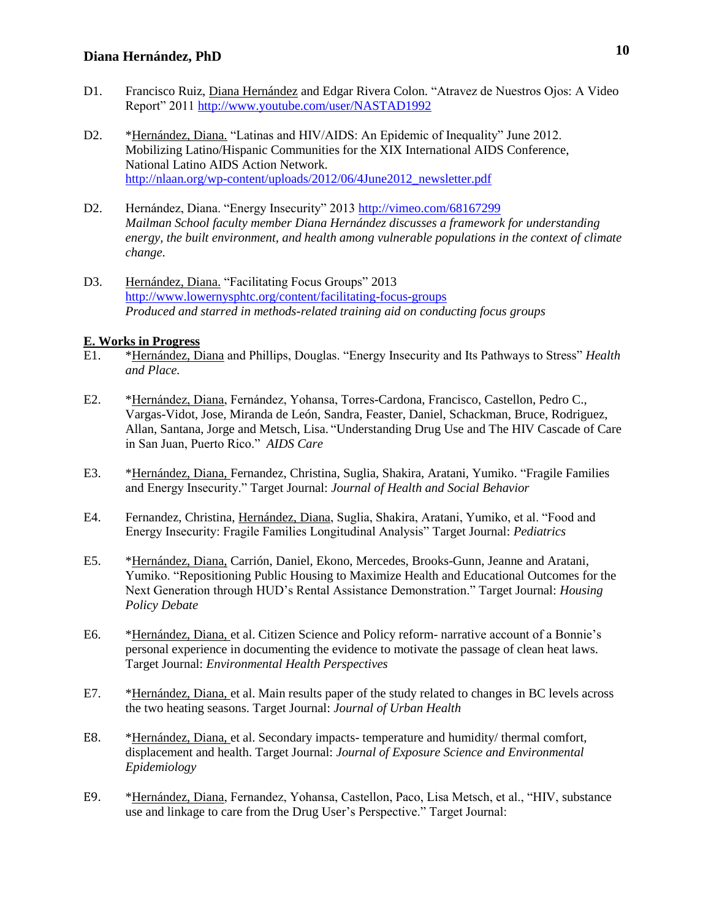- D1. Francisco Ruiz, Diana Hernández and Edgar Rivera Colon. "Atravez de Nuestros Ojos: A Video Report" 2011<http://www.youtube.com/user/NASTAD1992>
- D2. \*Hernández, Diana. "Latinas and HIV/AIDS: An Epidemic of Inequality" June 2012. Mobilizing Latino/Hispanic Communities for the XIX International AIDS Conference, National Latino AIDS Action Network. [http://nlaan.org/wp-content/uploads/2012/06/4June2012\\_newsletter.pdf](http://nlaan.org/wp-content/uploads/2012/06/4June2012_newsletter.pdf)
- D2. Hernández, Diana. "Energy Insecurity" 201[3 http://vimeo.com/68167299](http://vimeo.com/68167299) *Mailman School faculty member Diana Hernández discusses a framework for understanding energy, the built environment, and health among vulnerable populations in the context of climate change.*
- D3. Hernández, Diana. "Facilitating Focus Groups" 2013 <http://www.lowernysphtc.org/content/facilitating-focus-groups> *Produced and starred in methods-related training aid on conducting focus groups*

#### **E. Works in Progress**

- E1. \*Hernández, Diana and Phillips, Douglas. "Energy Insecurity and Its Pathways to Stress" *Health and Place.*
- E2. \*Hernández, Diana, Fernández, Yohansa, Torres-Cardona, Francisco, Castellon, Pedro C., Vargas-Vidot, Jose, Miranda de León, Sandra, Feaster, Daniel, Schackman, Bruce, Rodriguez, Allan, Santana, Jorge and Metsch, Lisa. "Understanding Drug Use and The HIV Cascade of Care in San Juan, Puerto Rico." *AIDS Care*
- E3. \*Hernández, Diana, Fernandez, Christina, Suglia, Shakira, Aratani, Yumiko. "Fragile Families and Energy Insecurity." Target Journal: *Journal of Health and Social Behavior*
- E4. Fernandez, Christina, Hernández, Diana, Suglia, Shakira, Aratani, Yumiko, et al. "Food and Energy Insecurity: Fragile Families Longitudinal Analysis" Target Journal: *Pediatrics*
- E5. \*Hernández, Diana, Carrión, Daniel, Ekono, Mercedes, Brooks-Gunn, Jeanne and Aratani, Yumiko. "Repositioning Public Housing to Maximize Health and Educational Outcomes for the Next Generation through HUD's Rental Assistance Demonstration." Target Journal: *Housing Policy Debate*
- E6. \*Hernández, Diana, et al. Citizen Science and Policy reform- narrative account of a Bonnie's personal experience in documenting the evidence to motivate the passage of clean heat laws. Target Journal: *Environmental Health Perspectives*
- E7. \*Hernández, Diana, et al. Main results paper of the study related to changes in BC levels across the two heating seasons. Target Journal: *Journal of Urban Health*
- E8. \*Hernández, Diana, et al. Secondary impacts- temperature and humidity/ thermal comfort, displacement and health. Target Journal: *[Journal of Exposure Science and Environmental](http://search.ebscohost.com/login.aspx?direct=true&db=byh&jid=1HO8&site=ehost-live)  [Epidemiology](http://search.ebscohost.com/login.aspx?direct=true&db=byh&jid=1HO8&site=ehost-live)*
- E9. \*Hernández, Diana, Fernandez, Yohansa, Castellon, Paco, Lisa Metsch, et al., "HIV, substance use and linkage to care from the Drug User's Perspective." Target Journal: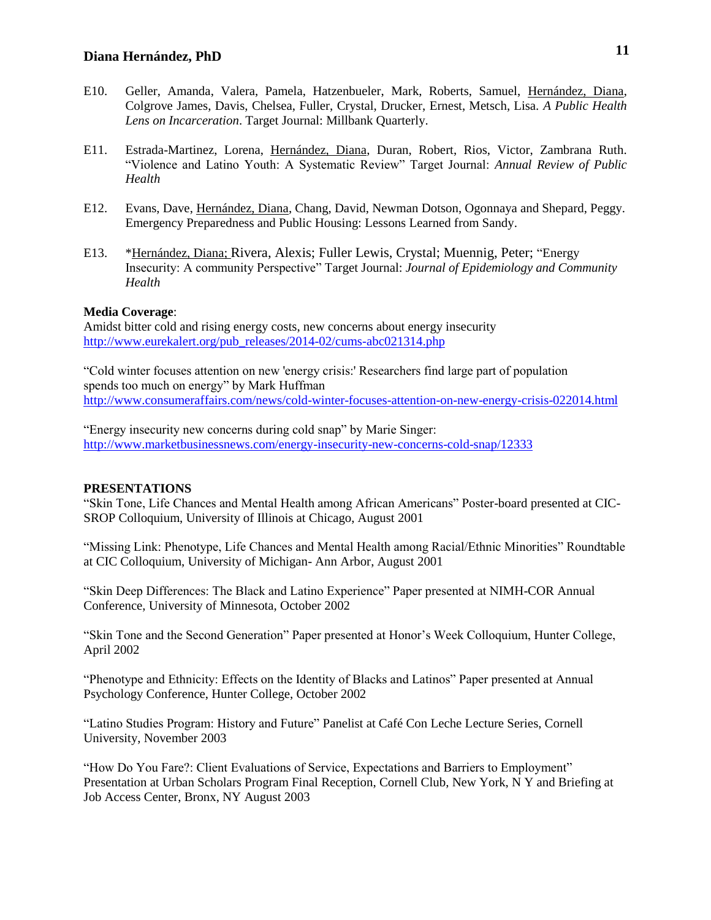- E10. Geller, Amanda, Valera, Pamela, Hatzenbueler, Mark, Roberts, Samuel, Hernández, Diana, Colgrove James, Davis, Chelsea, Fuller, Crystal, Drucker, Ernest, Metsch, Lisa. *A Public Health Lens on Incarceration*. Target Journal: Millbank Quarterly.
- E11. Estrada-Martinez, Lorena, Hernández, Diana, Duran, Robert, Rios, Victor, Zambrana Ruth. "Violence and Latino Youth: A Systematic Review" Target Journal: *Annual Review of Public Health*
- E12. Evans, Dave, Hernández, Diana, Chang, David, Newman Dotson, Ogonnaya and Shepard, Peggy. Emergency Preparedness and Public Housing: Lessons Learned from Sandy.
- E13. \*Hernández, Diana; Rivera, Alexis; Fuller Lewis, Crystal; Muennig, Peter; "Energy Insecurity: A community Perspective" Target Journal: *Journal of Epidemiology and Community Health*

### **Media Coverage**:

Amidst bitter cold and rising energy costs, new concerns about energy insecurity [http://www.eurekalert.org/pub\\_releases/2014-02/cums-abc021314.php](http://www.eurekalert.org/pub_releases/2014-02/cums-abc021314.php)

"Cold winter focuses attention on new 'energy crisis:' Researchers find large part of population spends too much on energy" by Mark Huffman <http://www.consumeraffairs.com/news/cold-winter-focuses-attention-on-new-energy-crisis-022014.html>

"Energy insecurity new concerns during cold snap" by Marie Singer: <http://www.marketbusinessnews.com/energy-insecurity-new-concerns-cold-snap/12333>

#### **PRESENTATIONS**

"Skin Tone, Life Chances and Mental Health among African Americans" Poster-board presented at CIC-SROP Colloquium, University of Illinois at Chicago, August 2001

"Missing Link: Phenotype, Life Chances and Mental Health among Racial/Ethnic Minorities" Roundtable at CIC Colloquium, University of Michigan- Ann Arbor, August 2001

"Skin Deep Differences: The Black and Latino Experience" Paper presented at NIMH-COR Annual Conference, University of Minnesota, October 2002

"Skin Tone and the Second Generation" Paper presented at Honor's Week Colloquium, Hunter College, April 2002

"Phenotype and Ethnicity: Effects on the Identity of Blacks and Latinos" Paper presented at Annual Psychology Conference, Hunter College, October 2002

"Latino Studies Program: History and Future" Panelist at Café Con Leche Lecture Series, Cornell University, November 2003

"How Do You Fare?: Client Evaluations of Service, Expectations and Barriers to Employment" Presentation at Urban Scholars Program Final Reception, Cornell Club, New York, N Y and Briefing at Job Access Center, Bronx, NY August 2003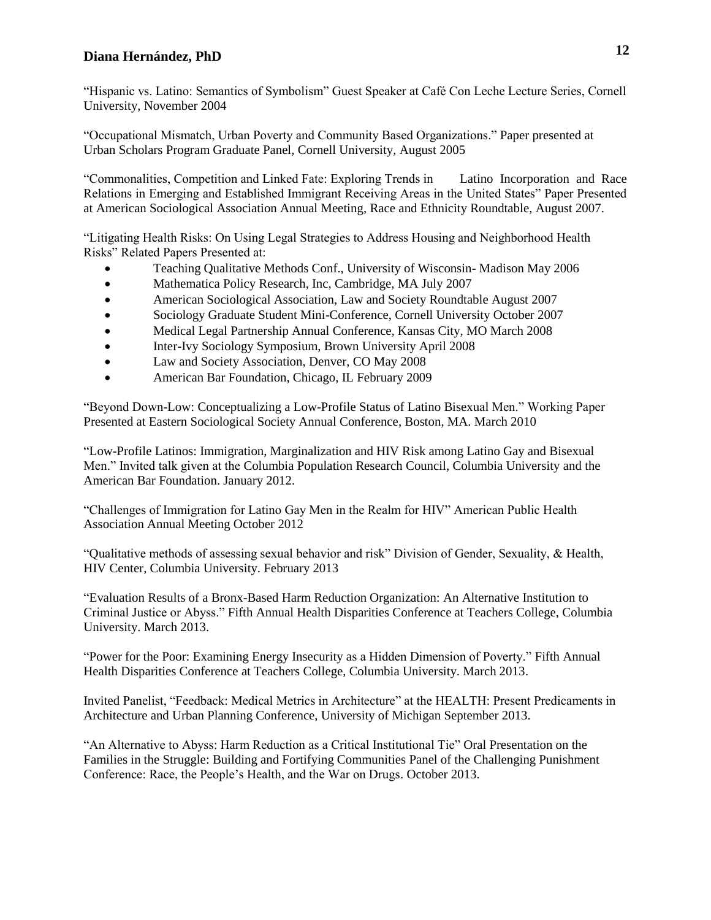"Hispanic vs. Latino: Semantics of Symbolism" Guest Speaker at Café Con Leche Lecture Series, Cornell University, November 2004

"Occupational Mismatch, Urban Poverty and Community Based Organizations." Paper presented at Urban Scholars Program Graduate Panel, Cornell University, August 2005

"Commonalities, Competition and Linked Fate: Exploring Trends in Latino Incorporation and Race Relations in Emerging and Established Immigrant Receiving Areas in the United States" Paper Presented at American Sociological Association Annual Meeting, Race and Ethnicity Roundtable, August 2007.

"Litigating Health Risks: On Using Legal Strategies to Address Housing and Neighborhood Health Risks" Related Papers Presented at:

- Teaching Qualitative Methods Conf., University of Wisconsin- Madison May 2006
- Mathematica Policy Research, Inc, Cambridge, MA July 2007
- American Sociological Association, Law and Society Roundtable August 2007
- Sociology Graduate Student Mini-Conference, Cornell University October 2007
- Medical Legal Partnership Annual Conference, Kansas City, MO March 2008
- Inter-Ivy Sociology Symposium, Brown University April 2008
- Law and Society Association, Denver, CO May 2008
- American Bar Foundation, Chicago, IL February 2009

"Beyond Down-Low: Conceptualizing a Low-Profile Status of Latino Bisexual Men." Working Paper Presented at Eastern Sociological Society Annual Conference, Boston, MA. March 2010

"Low-Profile Latinos: Immigration, Marginalization and HIV Risk among Latino Gay and Bisexual Men." Invited talk given at the Columbia Population Research Council, Columbia University and the American Bar Foundation. January 2012.

"Challenges of Immigration for Latino Gay Men in the Realm for HIV" American Public Health Association Annual Meeting October 2012

"Qualitative methods of assessing sexual behavior and risk" Division of Gender, Sexuality, & Health, HIV Center, Columbia University. February 2013

"Evaluation Results of a Bronx-Based Harm Reduction Organization: An Alternative Institution to Criminal Justice or Abyss." Fifth Annual Health Disparities Conference at Teachers College, Columbia University. March 2013.

"Power for the Poor: Examining Energy Insecurity as a Hidden Dimension of Poverty." Fifth Annual Health Disparities Conference at Teachers College, Columbia University. March 2013.

Invited Panelist, "Feedback: Medical Metrics in Architecture" at the HEALTH: Present Predicaments in Architecture and Urban Planning Conference, University of Michigan September 2013.

"An Alternative to Abyss: Harm Reduction as a Critical Institutional Tie" Oral Presentation on the Families in the Struggle: Building and Fortifying Communities Panel of the Challenging Punishment Conference: Race, the People's Health, and the War on Drugs. October 2013.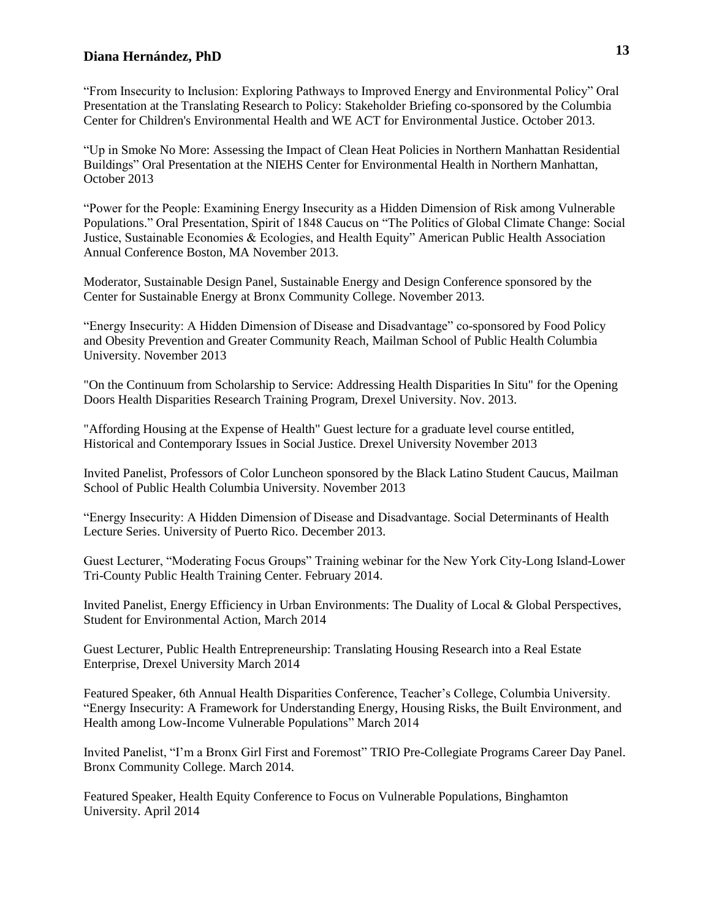"From Insecurity to Inclusion: Exploring Pathways to Improved Energy and Environmental Policy" Oral Presentation at the Translating Research to Policy: Stakeholder Briefing co-sponsored by the Columbia Center for Children's Environmental Health and WE ACT for Environmental Justice. October 2013.

"Up in Smoke No More: Assessing the Impact of Clean Heat Policies in Northern Manhattan Residential Buildings" Oral Presentation at the NIEHS Center for Environmental Health in Northern Manhattan, October 2013

"Power for the People: Examining Energy Insecurity as a Hidden Dimension of Risk among Vulnerable Populations." Oral Presentation, Spirit of 1848 Caucus on "The Politics of Global Climate Change: Social Justice, Sustainable Economies & Ecologies, and Health Equity" American Public Health Association Annual Conference Boston, MA November 2013.

Moderator, Sustainable Design Panel, Sustainable Energy and Design Conference sponsored by the Center for Sustainable Energy at Bronx Community College. November 2013.

"Energy Insecurity: A Hidden Dimension of Disease and Disadvantage" co-sponsored by Food Policy and Obesity Prevention and Greater Community Reach, Mailman School of Public Health Columbia University. November 2013

"On the Continuum from Scholarship to Service: Addressing Health Disparities In Situ" for the Opening Doors Health Disparities Research Training Program, Drexel University. Nov. 2013.

"Affording Housing at the Expense of Health" Guest lecture for a graduate level course entitled, Historical and Contemporary Issues in Social Justice. Drexel University November 2013

Invited Panelist, Professors of Color Luncheon sponsored by the Black Latino Student Caucus, Mailman School of Public Health Columbia University. November 2013

"Energy Insecurity: A Hidden Dimension of Disease and Disadvantage. Social Determinants of Health Lecture Series. University of Puerto Rico. December 2013.

Guest Lecturer, "Moderating Focus Groups" Training webinar for the New York City-Long Island-Lower Tri-County Public Health Training Center. February 2014.

Invited Panelist, Energy Efficiency in Urban Environments: The Duality of Local & Global Perspectives, Student for Environmental Action, March 2014

Guest Lecturer, [Public Health Entrepreneurship: Translating Housing Research into a Real Estate](http://www.mailman.columbia.edu/students/student-life/student-digest/display?site=sdigest&event_id=14138)  [Enterprise,](http://www.mailman.columbia.edu/students/student-life/student-digest/display?site=sdigest&event_id=14138) Drexel University March 2014

Featured Speaker, 6th Annual Health Disparities Conference, Teacher's College, Columbia University. "Energy Insecurity: A Framework for Understanding Energy, Housing Risks, the Built Environment, and Health among Low-Income Vulnerable Populations" March 2014

Invited Panelist, "I'm a Bronx Girl First and Foremost" TRIO Pre-Collegiate Programs Career Day Panel. Bronx Community College. March 2014.

Featured Speaker, Health Equity Conference to Focus on Vulnerable Populations, Binghamton University. April 2014